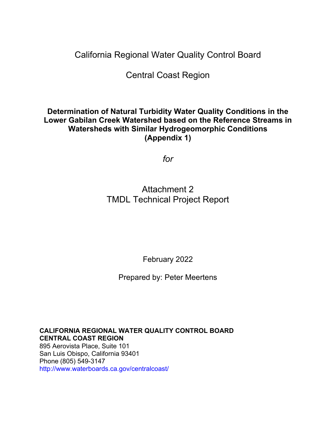California Regional Water Quality Control Board

Central Coast Region

# **Determination of Natural Turbidity Water Quality Conditions in the Lower Gabilan Creek Watershed based on the Reference Streams in Watersheds with Similar Hydrogeomorphic Conditions (Appendix 1)**

*for*

# Attachment 2 TMDL Technical Project Report

February 2022

Prepared by: Peter Meertens

**CALIFORNIA REGIONAL WATER QUALITY CONTROL BOARD CENTRAL COAST REGION** 895 Aerovista Place, Suite 101 San Luis Obispo, California 93401 Phone (805) 549-3147 http://www.waterboards.ca.gov/centralcoast/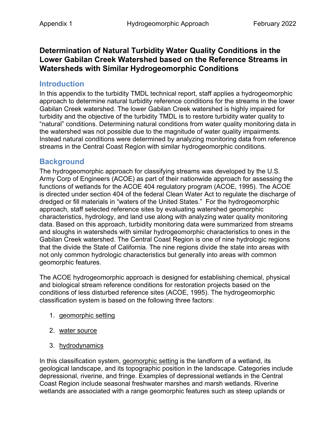#### **Determination of Natural Turbidity Water Quality Conditions in the Lower Gabilan Creek Watershed based on the Reference Streams in Watersheds with Similar Hydrogeomorphic Conditions**

#### **Introduction**

In this appendix to the turbidity TMDL technical report, staff applies a hydrogeomorphic approach to determine natural turbidity reference conditions for the streams in the lower Gabilan Creek watershed. The lower Gabilan Creek watershed is highly impaired for turbidity and the objective of the turbidity TMDL is to restore turbidity water quality to "natural" conditions. Determining natural conditions from water quality monitoring data in the watershed was not possible due to the magnitude of water quality impairments. Instead natural conditions were determined by analyzing monitoring data from reference streams in the Central Coast Region with similar hydrogeomorphic conditions.

#### **Background**

The hydrogeomorphic approach for classifying streams was developed by the U.S. Army Corp of Engineers (ACOE) as part of their nationwide approach for assessing the functions of wetlands for the ACOE 404 regulatory program (ACOE, 1995). The ACOE is directed under section 404 of the federal Clean Water Act to regulate the discharge of dredged or fill materials in "waters of the United States." For the hydrogeomorphic approach, staff selected reference sites by evaluating watershed geomorphic characteristics, hydrology, and land use along with analyzing water quality monitoring data. Based on this approach, turbidity monitoring data were summarized from streams and sloughs in watersheds with similar hydrogeomorphic characteristics to ones in the Gabilan Creek watershed. The Central Coast Region is one of nine hydrologic regions that the divide the State of California. The nine regions divide the state into areas with not only common hydrologic characteristics but generally into areas with common geomorphic features.

The ACOE hydrogeomorphic approach is designed for establishing chemical, physical and biological stream reference conditions for restoration projects based on the conditions of less disturbed reference sites (ACOE, 1995). The hydrogeomorphic classification system is based on the following three factors:

- 1. geomorphic setting
- 2. water source
- 3. hydrodynamics

In this classification system, geomorphic setting is the landform of a wetland, its geological landscape, and its topographic position in the landscape. Categories include depressional, riverine, and fringe. Examples of depressional wetlands in the Central Coast Region include seasonal freshwater marshes and marsh wetlands. Riverine wetlands are associated with a range geomorphic features such as steep uplands or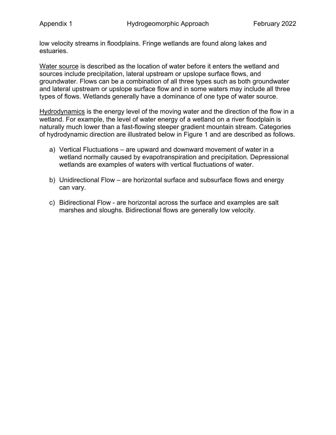low velocity streams in floodplains. Fringe wetlands are found along lakes and estuaries.

Water source is described as the location of water before it enters the wetland and sources include precipitation, lateral upstream or upslope surface flows, and groundwater. Flows can be a combination of all three types such as both groundwater and lateral upstream or upslope surface flow and in some waters may include all three types of flows. Wetlands generally have a dominance of one type of water source.

Hydrodynamics is the energy level of the moving water and the direction of the flow in a wetland. For example, the level of water energy of a wetland on a river floodplain is naturally much lower than a fast-flowing steeper gradient mountain stream. Categories of hydrodynamic direction are illustrated below in Figure 1 and are described as follows.

- a) Vertical Fluctuations are upward and downward movement of water in a wetland normally caused by evapotranspiration and precipitation. Depressional wetlands are examples of waters with vertical fluctuations of water.
- b) Unidirectional Flow are horizontal surface and subsurface flows and energy can vary.
- c) Bidirectional Flow are horizontal across the surface and examples are salt marshes and sloughs. Bidirectional flows are generally low velocity.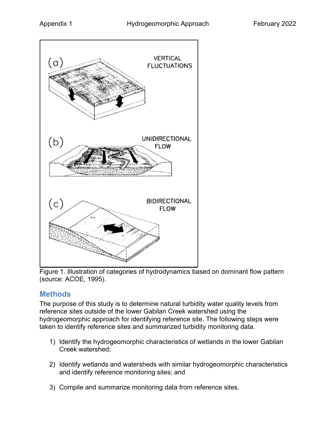

Figure 1. Illustration of categories of hydrodynamics based on dominant flow pattern (source: ACOE, 1995).

### **Methods**

The purpose of this study is to determine natural turbidity water quality levels from reference sites outside of the lower Gabilan Creek watershed using the hydrogeomorphic approach for identifying reference site. The following steps were taken to identify reference sites and summarized turbidity monitoring data.

- 1) Identify the hydrogeomorphic characteristics of wetlands in the lower Gabilan Creek watershed;
- 2) Identify wetlands and watersheds with similar hydrogeomorphic characteristics and identify reference monitoring sites; and
- 3) Compile and summarize monitoring data from reference sites.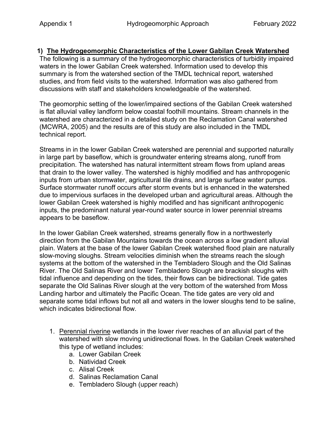#### **1) The Hydrogeomorphic Characteristics of the Lower Gabilan Creek Watershed**

The following is a summary of the hydrogeomorphic characteristics of turbidity impaired waters in the lower Gabilan Creek watershed. Information used to develop this summary is from the watershed section of the TMDL technical report, watershed studies, and from field visits to the watershed. Information was also gathered from discussions with staff and stakeholders knowledgeable of the watershed.

The geomorphic setting of the lower/impaired sections of the Gabilan Creek watershed is flat alluvial valley landform below coastal foothill mountains. Stream channels in the watershed are characterized in a detailed study on the Reclamation Canal watershed (MCWRA, 2005) and the results are of this study are also included in the TMDL technical report.

Streams in in the lower Gabilan Creek watershed are perennial and supported naturally in large part by baseflow, which is groundwater entering streams along, runoff from precipitation. The watershed has natural intermittent stream flows from upland areas that drain to the lower valley. The watershed is highly modified and has anthropogenic inputs from urban stormwater, agricultural tile drains, and large surface water pumps. Surface stormwater runoff occurs after storm events but is enhanced in the watershed due to impervious surfaces in the developed urban and agricultural areas. Although the lower Gabilan Creek watershed is highly modified and has significant anthropogenic inputs, the predominant natural year-round water source in lower perennial streams appears to be baseflow.

In the lower Gabilan Creek watershed, streams generally flow in a northwesterly direction from the Gabilan Mountains towards the ocean across a low gradient alluvial plain. Waters at the base of the lower Gabilan Creek watershed flood plain are naturally slow-moving sloughs. Stream velocities diminish when the streams reach the slough systems at the bottom of the watershed in the Tembladero Slough and the Old Salinas River. The Old Salinas River and lower Tembladero Slough are brackish sloughs with tidal influence and depending on the tides, their flows can be bidirectional. Tide gates separate the Old Salinas River slough at the very bottom of the watershed from Moss Landing harbor and ultimately the Pacific Ocean. The tide gates are very old and separate some tidal inflows but not all and waters in the lower sloughs tend to be saline, which indicates bidirectional flow.

- 1. Perennial riverine wetlands in the lower river reaches of an alluvial part of the watershed with slow moving unidirectional flows. In the Gabilan Creek watershed this type of wetland includes:
	- a. Lower Gabilan Creek
	- b. Natividad Creek
	- c. Alisal Creek
	- d. Salinas Reclamation Canal
	- e. Tembladero Slough (upper reach)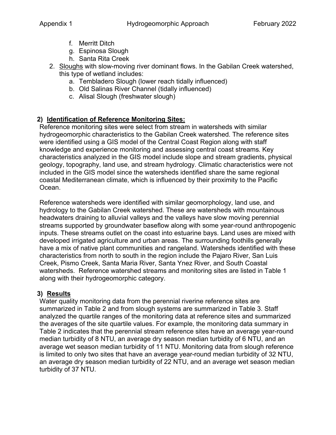- f. Merritt Ditch
- g. Espinosa Slough
- h. Santa Rita Creek
- 2. Sloughs with slow-moving river dominant flows. In the Gabilan Creek watershed, this type of wetland includes:
	- a. Tembladero Slough (lower reach tidally influenced)
	- b. Old Salinas River Channel (tidally influenced)
	- c. Alisal Slough (freshwater slough)

# **2) Identification of Reference Monitoring Sites:**

Reference monitoring sites were select from stream in watersheds with similar hydrogeomorphic characteristics to the Gabilan Creek watershed. The reference sites were identified using a GIS model of the Central Coast Region along with staff knowledge and experience monitoring and assessing central coast streams. Key characteristics analyzed in the GIS model include slope and stream gradients, physical geology, topography, land use, and stream hydrology. Climatic characteristics were not included in the GIS model since the watersheds identified share the same regional coastal Mediterranean climate, which is influenced by their proximity to the Pacific Ocean.

Reference watersheds were identified with similar geomorphology, land use, and hydrology to the Gabilan Creek watershed. These are watersheds with mountainous headwaters draining to alluvial valleys and the valleys have slow moving perennial streams supported by groundwater baseflow along with some year-round anthropogenic inputs. These streams outlet on the coast into estuarine bays. Land uses are mixed with developed irrigated agriculture and urban areas. The surrounding foothills generally have a mix of native plant communities and rangeland. Watersheds identified with these characteristics from north to south in the region include the Pajaro River, San Luis Creek, Pismo Creek, Santa Maria River, Santa Ynez River, and South Coastal watersheds. Reference watershed streams and monitoring sites are listed in [Table 1](#page-6-0) along with their hydrogeomorphic category.

### **3) Results**

Water quality monitoring data from the perennial riverine reference sites are summarized in [Table 2](#page-6-1) and from slough systems are summarized in [Table 3](#page-8-0). Staff analyzed the quartile ranges of the monitoring data at reference sites and summarized the averages of the site quartile values. For example, the monitoring data summary in Table 2 indicates that the perennial stream reference sites have an average year-round median turbidity of 8 NTU, an average dry season median turbidity of 6 NTU, and an average wet season median turbidity of 11 NTU. Monitoring data from slough reference is limited to only two sites that have an average year-round median turbidity of 32 NTU, an average dry season median turbidity of 22 NTU, and an average wet season median turbidity of 37 NTU.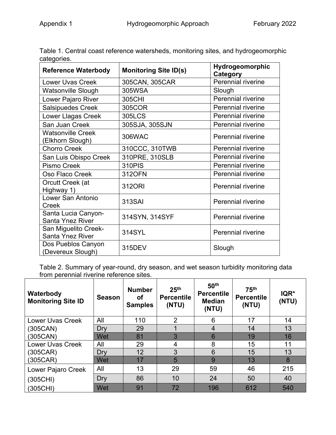| <b>Reference Waterbody</b>                      | <b>Monitoring Site ID(s)</b> | Hydrogeomorphic<br>Category |  |
|-------------------------------------------------|------------------------------|-----------------------------|--|
| <b>Lower Uvas Creek</b>                         | 305CAN, 305CAR               | Perennial riverine          |  |
| <b>Watsonville Slough</b>                       | 305WSA                       | Slough                      |  |
| Lower Pajaro River                              | 305CHI                       | <b>Perennial riverine</b>   |  |
| <b>Salsipuedes Creek</b>                        | 305COR                       | <b>Perennial riverine</b>   |  |
| <b>Lower Llagas Creek</b>                       | 305LCS                       | <b>Perennial riverine</b>   |  |
| San Juan Creek                                  | 305SJA, 305SJN               | <b>Perennial riverine</b>   |  |
| <b>Watsonville Creek</b><br>(Elkhorn Slough)    | 306WAC                       | <b>Perennial riverine</b>   |  |
| <b>Chorro Creek</b>                             | 310CCC, 310TWB               | Perennial riverine          |  |
| San Luis Obispo Creek                           | 310PRE, 310SLB               | <b>Perennial riverine</b>   |  |
| <b>Pismo Creek</b>                              | 310PIS                       | Perennial riverine          |  |
| Oso Flaco Creek                                 | 312OFN                       | Perennial riverine          |  |
| Orcutt Creek (at<br>Highway 1)                  | 312ORI                       | <b>Perennial riverine</b>   |  |
| Lower San Antonio<br>Creek                      | 313SAI                       | Perennial riverine          |  |
| Santa Lucia Canyon-<br><b>Santa Ynez River</b>  | 314SYN, 314SYF               | <b>Perennial riverine</b>   |  |
| San Miguelito Creek-<br><b>Santa Ynez River</b> | 314SYL                       | <b>Perennial riverine</b>   |  |
| Dos Pueblos Canyon<br>(Devereux Slough)         | 315DEV                       | Slough                      |  |

<span id="page-6-0"></span>Table 1. Central coast reference watersheds, monitoring sites, and hydrogeomorphic categories.

<span id="page-6-1"></span>Table 2. Summary of year-round, dry season, and wet season turbidity monitoring data from perennial riverine reference sites.

| Waterbody<br><b>Monitoring Site ID</b> | <b>Season</b> | <b>Number</b><br>οf<br><b>Samples</b> | 25 <sup>th</sup><br><b>Percentile</b><br>(NTU) | 50 <sup>th</sup><br><b>Percentile</b><br><b>Median</b><br>(NTU) | 75 <sup>th</sup><br><b>Percentile</b><br>(NTU) | IQR*<br>(NTU) |
|----------------------------------------|---------------|---------------------------------------|------------------------------------------------|-----------------------------------------------------------------|------------------------------------------------|---------------|
| <b>Lower Uvas Creek</b>                | All           | 110                                   | 2                                              | 6                                                               | 17                                             | 14            |
| (305CAN)                               | Dry           | 29                                    |                                                | $\overline{4}$                                                  | 14                                             | 13            |
| (305CAN)                               | Wet           | 81                                    | 3                                              | 6                                                               | 19                                             | 16            |
| <b>Lower Uvas Creek</b>                | All           | 29                                    | 4                                              | 8                                                               | 15                                             | 11            |
| (305CAR)                               | Dry           | 12                                    | 3                                              | $6\phantom{1}6$                                                 | 15                                             | 13            |
| (305CAR)                               | Wet           | 17                                    | 5                                              | 9                                                               | 13                                             | 8             |
| Lower Pajaro Creek                     | All           | 13                                    | 29                                             | 59                                                              | 46                                             | 215           |
| (305CHI)                               | Dry           | 86                                    | 10                                             | 24                                                              | 50                                             | 40            |
| (305CHI)                               | Wet           | 91                                    | 72                                             | 196                                                             | 612                                            | 540           |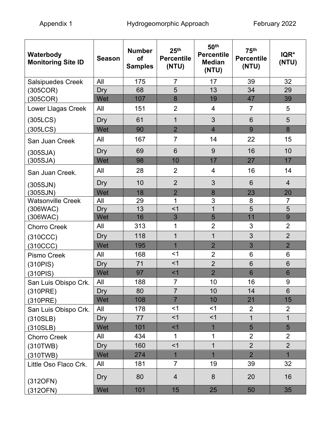| Waterbody<br><b>Monitoring Site ID</b> | <b>Season</b> | <b>Number</b><br><b>of</b><br><b>Samples</b> | 25 <sup>th</sup><br><b>Percentile</b><br>(NTU) | 50 <sup>th</sup><br><b>Percentile</b><br><b>Median</b><br>(NTU) | 75 <sup>th</sup><br><b>Percentile</b><br>(NTU) | IQR*<br>(NTU)   |
|----------------------------------------|---------------|----------------------------------------------|------------------------------------------------|-----------------------------------------------------------------|------------------------------------------------|-----------------|
| <b>Salsipuedes Creek</b>               | All           | 175                                          | 7                                              | 17                                                              | 39                                             | 32              |
| (305COR)                               | Dry           | 68                                           | 5                                              | 13                                                              | 34                                             | 29              |
| (305COR)                               | Wet           | 107                                          | 8                                              | 19                                                              | 47                                             | 39              |
| <b>Lower Llagas Creek</b>              | All           | 151                                          | $\overline{2}$                                 | $\overline{\mathbf{4}}$                                         | $\overline{7}$                                 | 5               |
| (305LCS)                               | Dry           | 61                                           | $\mathbf 1$                                    | 3                                                               | 6                                              | 5               |
| (305LCS)                               | Wet           | 90                                           | $\overline{2}$                                 | $\overline{4}$                                                  | 9                                              | 8               |
| San Juan Creek                         | All           | 167                                          | $\overline{7}$                                 | 14                                                              | 22                                             | 15              |
| (305SJA)                               | Dry           | 69                                           | 6                                              | 9                                                               | 16                                             | 10              |
| (305SJA)                               | Wet           | 98                                           | 10                                             | 17                                                              | 27                                             | 17              |
| San Juan Creek.                        | All           | 28                                           | $\overline{2}$                                 | $\overline{4}$                                                  | 16                                             | 14              |
| (305SJN)                               | Dry           | 10                                           | $\overline{2}$                                 | 3                                                               | $6\phantom{1}$                                 | $\overline{4}$  |
| (305SJN)                               | Wet           | 18                                           | $\overline{2}$                                 | 8                                                               | 23                                             | 20              |
| <b>Watsonville Creek</b>               | All           | 29                                           | 1                                              | 3                                                               | 8                                              | $\overline{7}$  |
| (306WAC)                               | Dry           | 13                                           | $<$ 1                                          | $\overline{1}$                                                  | $\overline{5}$                                 | 5               |
| (306WAC)                               | Wet           | 16                                           | 3                                              | $\overline{5}$                                                  | 11                                             | 9               |
| <b>Chorro Creek</b>                    | All           | 313                                          | 1                                              | $\overline{2}$                                                  | 3                                              | $\overline{2}$  |
| (310CCC)                               | Dry           | 118                                          | $\overline{1}$                                 | $\mathbf 1$                                                     | 3                                              | $\overline{2}$  |
| (310CCC)                               | Wet           | 195                                          | $\overline{1}$                                 | $\overline{2}$                                                  | 3                                              | $\overline{2}$  |
| Pismo Creek                            | All           | 168                                          | <1                                             | $\overline{2}$                                                  | $6\phantom{1}6$                                | 6               |
| (310PIS)                               | Dry           | 71                                           | $<$ 1                                          | $\overline{2}$                                                  | $6\phantom{1}$                                 | 6               |
| (310PIS)                               | Wet           | 97                                           | $<$ 1                                          | $\overline{2}$                                                  | 6                                              | $6\phantom{1}6$ |
| San Luis Obispo Crk.                   | All           | 188                                          | $\overline{7}$                                 | 10                                                              | 16                                             | 9               |
| (310PRE)                               | Dry           | 80                                           | $\overline{7}$                                 | 10                                                              | 14                                             | 6               |
| (310PRE)                               | Wet           | 108                                          | $\overline{7}$                                 | 10                                                              | 21                                             | 15              |
| San Luis Obispo Crk.                   | All           | 178                                          | $<$ 1                                          | $<$ 1                                                           | $\overline{2}$                                 | $\overline{2}$  |
| (310SLB)                               | Dry           | 77                                           | <1                                             | <1                                                              | $\mathbf{1}$                                   | $\mathbf{1}$    |
| (310SLB)                               | Wet           | 101                                          | $<$ 1                                          | $\mathbf{1}$                                                    | 5                                              | 5               |
| <b>Chorro Creek</b>                    | All           | 434                                          | 1                                              | 1                                                               | $\overline{2}$                                 | $\overline{2}$  |
| (310TWB)                               | Dry           | 160                                          | $<$ 1                                          | $\overline{1}$                                                  | $\overline{2}$                                 | $\overline{2}$  |
| (310TWB)                               | Wet           | 274                                          | $\overline{1}$                                 | $\overline{1}$                                                  | $\overline{2}$                                 | $\overline{1}$  |
| Little Oso Flaco Crk.                  | All           | 181                                          | $\overline{7}$                                 | 19                                                              | 39                                             | 32              |
| (312OFN)                               | Dry           | 80                                           | $\overline{4}$                                 | 8                                                               | 20                                             | 16              |
| (312OFN)                               | Wet           | 101                                          | 15                                             | 25                                                              | 50                                             | 35              |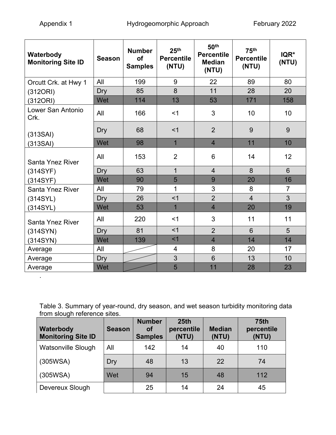.

| Waterbody<br><b>Monitoring Site ID</b> | <b>Season</b> | <b>Number</b><br><b>of</b><br><b>Samples</b> | 25 <sup>th</sup><br><b>Percentile</b><br>(NTU) | 50 <sup>th</sup><br><b>Percentile</b><br><b>Median</b><br>(NTU) | 75 <sup>th</sup><br><b>Percentile</b><br>(NTU) | IQR*<br>(NTU)  |
|----------------------------------------|---------------|----------------------------------------------|------------------------------------------------|-----------------------------------------------------------------|------------------------------------------------|----------------|
| Orcutt Crk. at Hwy 1                   | All           | 199                                          | 9                                              | 22                                                              | 89                                             | 80             |
| (312ORI)                               | Dry           | 85                                           | 8                                              | 11                                                              | 28                                             | 20             |
| (312ORI)                               | Wet           | 114                                          | 13                                             | 53                                                              | 171                                            | 158            |
| Lower San Antonio<br>Crk.              | All           | 166                                          | $<$ 1                                          | 3                                                               | 10                                             | 10             |
| (313SAI)                               | Dry           | 68                                           | $<$ 1                                          | $\overline{2}$                                                  | 9                                              | 9              |
| (313SAI)                               | Wet           | 98                                           | $\overline{1}$                                 | $\overline{4}$                                                  | 11                                             | 10             |
| <b>Santa Ynez River</b>                | All           | 153                                          | $\overline{2}$                                 | $6\phantom{1}6$                                                 | 14                                             | 12             |
| (314SYF)                               | Dry           | 63                                           | $\overline{1}$                                 | $\overline{4}$                                                  | 8                                              | $6\phantom{1}$ |
| (314SYF)                               | Wet           | 90                                           | 5                                              | 9                                                               | 20                                             | 16             |
| <b>Santa Ynez River</b>                | All           | 79                                           | 1                                              | 3                                                               | 8                                              | $\overline{7}$ |
| (314SYL)                               | Dry           | 26                                           | $<$ 1                                          | $\overline{2}$                                                  | $\overline{4}$                                 | $\overline{3}$ |
| (314SYL)                               | Wet           | 53                                           | $\overline{1}$                                 | $\overline{4}$                                                  | 20                                             | 19             |
| Santa Ynez River                       | All           | 220                                          | $<$ 1                                          | 3                                                               | 11                                             | 11             |
| (314SYN)                               | Dry           | 81                                           | $<$ 1                                          | $\overline{2}$                                                  | $6\phantom{1}$                                 | 5              |
| (314SYN)                               | Wet           | 139                                          | $<$ 1                                          | $\overline{4}$                                                  | 14                                             | 14             |
| Average                                | All           |                                              | $\overline{\mathcal{A}}$                       | 8                                                               | 20                                             | 17             |
| Average                                | Dry           |                                              | 3                                              | $6\phantom{1}6$                                                 | 13                                             | 10             |
| Average                                | Wet           |                                              | 5                                              | 11                                                              | 28                                             | 23             |

<span id="page-8-0"></span>Table 3. Summary of year-round, dry season, and wet season turbidity monitoring data from slough reference sites.

| Waterbody<br><b>Monitoring Site ID</b> | <b>Season</b> | <b>Number</b><br><b>of</b><br><b>Samples</b> | 25th<br>percentile<br>(NTU) | <b>Median</b><br>(NTU) | <b>75th</b><br>percentile<br>(NTU) |
|----------------------------------------|---------------|----------------------------------------------|-----------------------------|------------------------|------------------------------------|
| <b>Watsonville Slough</b>              | All           | 142                                          | 14                          | 40                     | 110                                |
| (305WSA)                               | Dry           | 48                                           | 13                          | 22                     | 74                                 |
| (305WSA)                               | Wet           | 94                                           | 15                          | 48                     | 112                                |
| Devereux Slough                        |               | 25                                           | 14                          | 24                     | 45                                 |